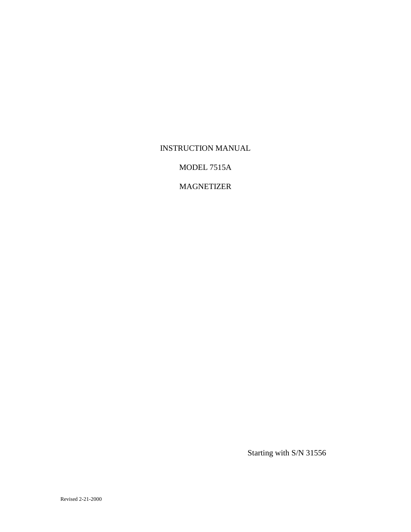## INSTRUCTION MANUAL

MODEL 7515A

# MAGNETIZER

Starting with S/N 31556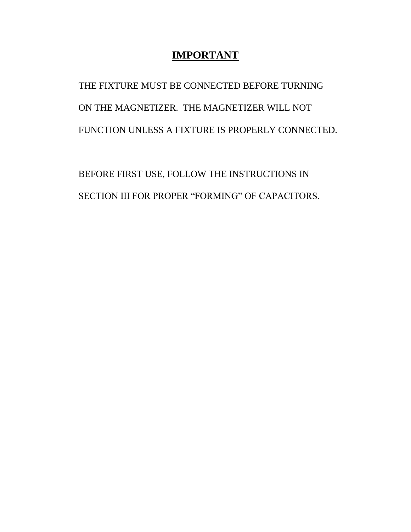# **IMPORTANT**

THE FIXTURE MUST BE CONNECTED BEFORE TURNING ON THE MAGNETIZER. THE MAGNETIZER WILL NOT FUNCTION UNLESS A FIXTURE IS PROPERLY CONNECTED.

BEFORE FIRST USE, FOLLOW THE INSTRUCTIONS IN SECTION III FOR PROPER "FORMING" OF CAPACITORS.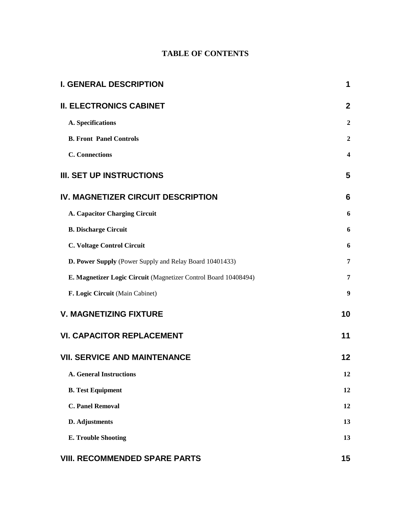# **TABLE OF CONTENTS**

| <b>I. GENERAL DESCRIPTION</b>                                   |                         |  |
|-----------------------------------------------------------------|-------------------------|--|
| <b>II. ELECTRONICS CABINET</b>                                  | $\mathbf{2}$            |  |
| A. Specifications                                               | $\boldsymbol{2}$        |  |
| <b>B. Front Panel Controls</b>                                  | $\boldsymbol{2}$        |  |
| <b>C.</b> Connections                                           | $\overline{\mathbf{4}}$ |  |
| <b>III. SET UP INSTRUCTIONS</b>                                 | 5                       |  |
| <b>IV. MAGNETIZER CIRCUIT DESCRIPTION</b>                       | 6                       |  |
| A. Capacitor Charging Circuit                                   | 6                       |  |
| <b>B. Discharge Circuit</b>                                     | 6                       |  |
| <b>C. Voltage Control Circuit</b>                               | 6                       |  |
| D. Power Supply (Power Supply and Relay Board 10401433)         | 7                       |  |
| E. Magnetizer Logic Circuit (Magnetizer Control Board 10408494) | 7                       |  |
| F. Logic Circuit (Main Cabinet)                                 | 9                       |  |
| <b>V. MAGNETIZING FIXTURE</b>                                   | 10                      |  |
| <b>VI. CAPACITOR REPLACEMENT</b>                                | 11                      |  |
| <b>VII. SERVICE AND MAINTENANCE</b>                             | 12                      |  |
| <b>A. General Instructions</b>                                  | 12                      |  |
| <b>B.</b> Test Equipment                                        | 12                      |  |
| <b>C. Panel Removal</b>                                         | 12                      |  |
| D. Adjustments                                                  | 13                      |  |
| <b>E. Trouble Shooting</b>                                      | 13                      |  |
| <b>VIII. RECOMMENDED SPARE PARTS</b>                            | 15                      |  |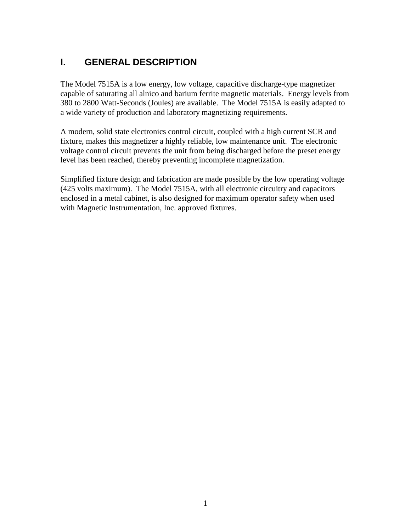# **I. GENERAL DESCRIPTION**

The Model 7515A is a low energy, low voltage, capacitive discharge-type magnetizer capable of saturating all alnico and barium ferrite magnetic materials. Energy levels from 380 to 2800 Watt-Seconds (Joules) are available. The Model 7515A is easily adapted to a wide variety of production and laboratory magnetizing requirements.

A modern, solid state electronics control circuit, coupled with a high current SCR and fixture, makes this magnetizer a highly reliable, low maintenance unit. The electronic voltage control circuit prevents the unit from being discharged before the preset energy level has been reached, thereby preventing incomplete magnetization.

Simplified fixture design and fabrication are made possible by the low operating voltage (425 volts maximum). The Model 7515A, with all electronic circuitry and capacitors enclosed in a metal cabinet, is also designed for maximum operator safety when used with Magnetic Instrumentation, Inc. approved fixtures.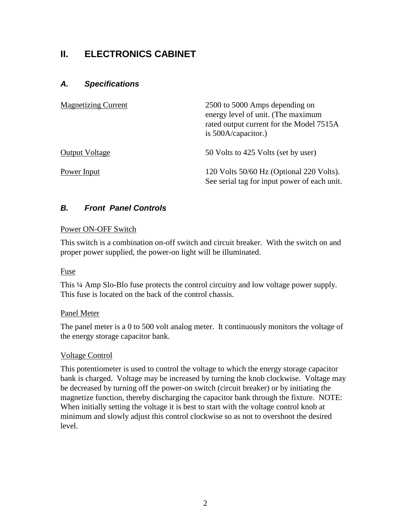# **II. ELECTRONICS CABINET**

## *A. Specifications*

| <b>Magnetizing Current</b> | 2500 to 5000 Amps depending on<br>energy level of unit. (The maximum<br>rated output current for the Model 7515A<br>is $500A$ /capacitor.) |
|----------------------------|--------------------------------------------------------------------------------------------------------------------------------------------|
| <b>Output Voltage</b>      | 50 Volts to 425 Volts (set by user)                                                                                                        |
| Power Input                | 120 Volts 50/60 Hz (Optional 220 Volts).<br>See serial tag for input power of each unit.                                                   |

## *B. Front Panel Controls*

#### Power ON-OFF Switch

This switch is a combination on-off switch and circuit breaker. With the switch on and proper power supplied, the power-on light will be illuminated.

#### Fuse

This ¼ Amp Slo-Blo fuse protects the control circuitry and low voltage power supply. This fuse is located on the back of the control chassis.

#### Panel Meter

The panel meter is a 0 to 500 volt analog meter. It continuously monitors the voltage of the energy storage capacitor bank.

#### Voltage Control

This potentiometer is used to control the voltage to which the energy storage capacitor bank is charged. Voltage may be increased by turning the knob clockwise. Voltage may be decreased by turning off the power-on switch (circuit breaker) or by initiating the magnetize function, thereby discharging the capacitor bank through the fixture. NOTE: When initially setting the voltage it is best to start with the voltage control knob at minimum and slowly adjust this control clockwise so as not to overshoot the desired level.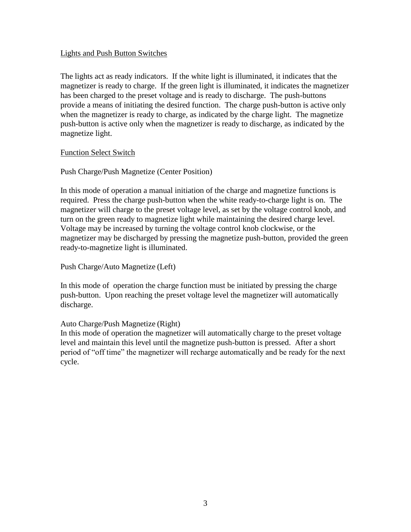#### Lights and Push Button Switches

The lights act as ready indicators. If the white light is illuminated, it indicates that the magnetizer is ready to charge. If the green light is illuminated, it indicates the magnetizer has been charged to the preset voltage and is ready to discharge. The push-buttons provide a means of initiating the desired function. The charge push-button is active only when the magnetizer is ready to charge, as indicated by the charge light. The magnetize push-button is active only when the magnetizer is ready to discharge, as indicated by the magnetize light.

#### Function Select Switch

Push Charge/Push Magnetize (Center Position)

In this mode of operation a manual initiation of the charge and magnetize functions is required. Press the charge push-button when the white ready-to-charge light is on. The magnetizer will charge to the preset voltage level, as set by the voltage control knob, and turn on the green ready to magnetize light while maintaining the desired charge level. Voltage may be increased by turning the voltage control knob clockwise, or the magnetizer may be discharged by pressing the magnetize push-button, provided the green ready-to-magnetize light is illuminated.

Push Charge/Auto Magnetize (Left)

In this mode of operation the charge function must be initiated by pressing the charge push-button. Upon reaching the preset voltage level the magnetizer will automatically discharge.

### Auto Charge/Push Magnetize (Right)

In this mode of operation the magnetizer will automatically charge to the preset voltage level and maintain this level until the magnetize push-button is pressed. After a short period of "off time" the magnetizer will recharge automatically and be ready for the next cycle.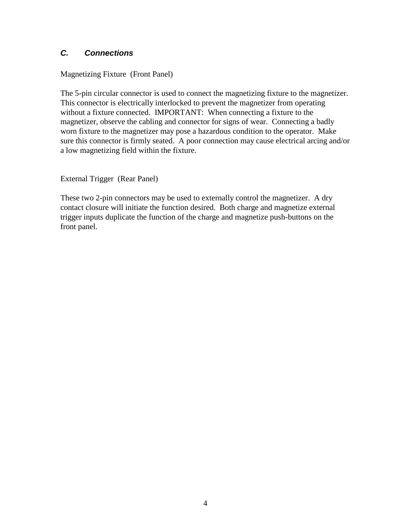## *C. Connections*

### Magnetizing Fixture (Front Panel)

The 5-pin circular connector is used to connect the magnetizing fixture to the magnetizer. This connector is electrically interlocked to prevent the magnetizer from operating without a fixture connected. IMPORTANT: When connecting a fixture to the magnetizer, observe the cabling and connector for signs of wear. Connecting a badly worn fixture to the magnetizer may pose a hazardous condition to the operator. Make sure this connector is firmly seated. A poor connection may cause electrical arcing and/or a low magnetizing field within the fixture.

External Trigger (Rear Panel)

These two 2-pin connectors may be used to externally control the magnetizer. A dry contact closure will initiate the function desired. Both charge and magnetize external trigger inputs duplicate the function of the charge and magnetize push-buttons on the front panel.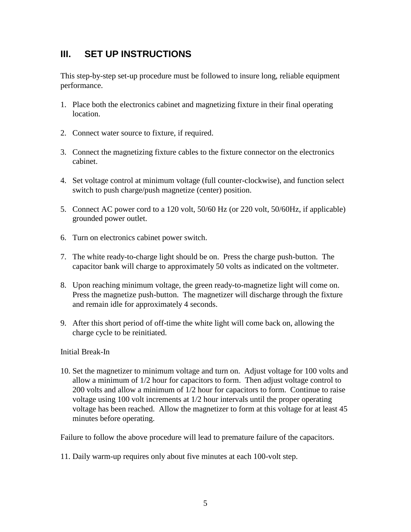# **III. SET UP INSTRUCTIONS**

This step-by-step set-up procedure must be followed to insure long, reliable equipment performance.

- 1. Place both the electronics cabinet and magnetizing fixture in their final operating location.
- 2. Connect water source to fixture, if required.
- 3. Connect the magnetizing fixture cables to the fixture connector on the electronics cabinet.
- 4. Set voltage control at minimum voltage (full counter-clockwise), and function select switch to push charge/push magnetize (center) position.
- 5. Connect AC power cord to a 120 volt, 50/60 Hz (or 220 volt, 50/60Hz, if applicable) grounded power outlet.
- 6. Turn on electronics cabinet power switch.
- 7. The white ready-to-charge light should be on. Press the charge push-button. The capacitor bank will charge to approximately 50 volts as indicated on the voltmeter.
- 8. Upon reaching minimum voltage, the green ready-to-magnetize light will come on. Press the magnetize push-button. The magnetizer will discharge through the fixture and remain idle for approximately 4 seconds.
- 9. After this short period of off-time the white light will come back on, allowing the charge cycle to be reinitiated.

### Initial Break-In

10. Set the magnetizer to minimum voltage and turn on. Adjust voltage for 100 volts and allow a minimum of 1/2 hour for capacitors to form. Then adjust voltage control to 200 volts and allow a minimum of 1/2 hour for capacitors to form. Continue to raise voltage using 100 volt increments at 1/2 hour intervals until the proper operating voltage has been reached. Allow the magnetizer to form at this voltage for at least 45 minutes before operating.

Failure to follow the above procedure will lead to premature failure of the capacitors.

11. Daily warm-up requires only about five minutes at each 100-volt step.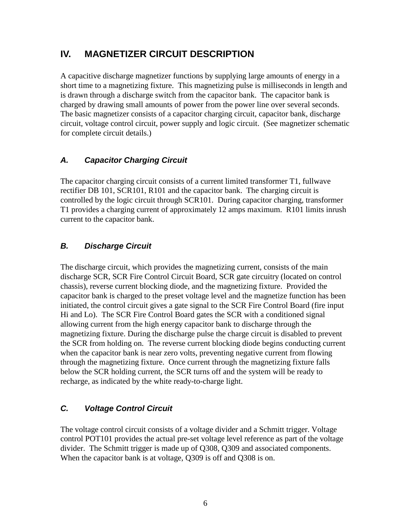# **IV. MAGNETIZER CIRCUIT DESCRIPTION**

A capacitive discharge magnetizer functions by supplying large amounts of energy in a short time to a magnetizing fixture. This magnetizing pulse is milliseconds in length and is drawn through a discharge switch from the capacitor bank. The capacitor bank is charged by drawing small amounts of power from the power line over several seconds. The basic magnetizer consists of a capacitor charging circuit, capacitor bank, discharge circuit, voltage control circuit, power supply and logic circuit. (See magnetizer schematic for complete circuit details.)

# *A. Capacitor Charging Circuit*

The capacitor charging circuit consists of a current limited transformer T1, fullwave rectifier DB 101, SCR101, R101 and the capacitor bank. The charging circuit is controlled by the logic circuit through SCR101. During capacitor charging, transformer T1 provides a charging current of approximately 12 amps maximum. R101 limits inrush current to the capacitor bank.

# *B. Discharge Circuit*

The discharge circuit, which provides the magnetizing current, consists of the main discharge SCR, SCR Fire Control Circuit Board, SCR gate circuitry (located on control chassis), reverse current blocking diode, and the magnetizing fixture. Provided the capacitor bank is charged to the preset voltage level and the magnetize function has been initiated, the control circuit gives a gate signal to the SCR Fire Control Board (fire input Hi and Lo). The SCR Fire Control Board gates the SCR with a conditioned signal allowing current from the high energy capacitor bank to discharge through the magnetizing fixture. During the discharge pulse the charge circuit is disabled to prevent the SCR from holding on. The reverse current blocking diode begins conducting current when the capacitor bank is near zero volts, preventing negative current from flowing through the magnetizing fixture. Once current through the magnetizing fixture falls below the SCR holding current, the SCR turns off and the system will be ready to recharge, as indicated by the white ready-to-charge light.

# *C. Voltage Control Circuit*

The voltage control circuit consists of a voltage divider and a Schmitt trigger. Voltage control POT101 provides the actual pre-set voltage level reference as part of the voltage divider. The Schmitt trigger is made up of Q308, Q309 and associated components. When the capacitor bank is at voltage, Q309 is off and Q308 is on.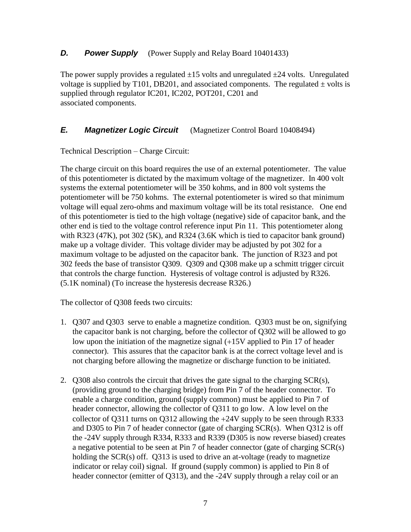### *D. Power Supply* (Power Supply and Relay Board 10401433)

The power supply provides a regulated  $\pm 15$  volts and unregulated  $\pm 24$  volts. Unregulated voltage is supplied by T101, DB201, and associated components. The regulated  $\pm$  volts is supplied through regulator IC201, IC202, POT201, C201 and associated components.

### *E. Magnetizer Logic Circuit* (Magnetizer Control Board 10408494)

Technical Description – Charge Circuit:

The charge circuit on this board requires the use of an external potentiometer. The value of this potentiometer is dictated by the maximum voltage of the magnetizer. In 400 volt systems the external potentiometer will be 350 kohms, and in 800 volt systems the potentiometer will be 750 kohms. The external potentiometer is wired so that minimum voltage will equal zero-ohms and maximum voltage will be its total resistance. One end of this potentiometer is tied to the high voltage (negative) side of capacitor bank, and the other end is tied to the voltage control reference input Pin 11. This potentiometer along with R323 (47K), pot 302 (5K), and R324 (3.6K which is tied to capacitor bank ground) make up a voltage divider. This voltage divider may be adjusted by pot 302 for a maximum voltage to be adjusted on the capacitor bank. The junction of R323 and pot 302 feeds the base of transistor Q309. Q309 and Q308 make up a schmitt trigger circuit that controls the charge function. Hysteresis of voltage control is adjusted by R326. (5.1K nominal) (To increase the hysteresis decrease R326.)

The collector of Q308 feeds two circuits:

- 1. Q307 and Q303 serve to enable a magnetize condition. Q303 must be on, signifying the capacitor bank is not charging, before the collector of Q302 will be allowed to go low upon the initiation of the magnetize signal  $(+15V)$  applied to Pin 17 of header connector). This assures that the capacitor bank is at the correct voltage level and is not charging before allowing the magnetize or discharge function to be initiated.
- 2. Q308 also controls the circuit that drives the gate signal to the charging SCR(s), (providing ground to the charging bridge) from Pin 7 of the header connector. To enable a charge condition, ground (supply common) must be applied to Pin 7 of header connector, allowing the collector of Q311 to go low. A low level on the collector of  $Q311$  turns on  $Q312$  allowing the  $+24V$  supply to be seen through R333 and D305 to Pin 7 of header connector (gate of charging SCR(s). When Q312 is off the -24V supply through R334, R333 and R339 (D305 is now reverse biased) creates a negative potential to be seen at Pin 7 of header connector (gate of charging SCR(s) holding the SCR(s) off. Q313 is used to drive an at-voltage (ready to magnetize indicator or relay coil) signal. If ground (supply common) is applied to Pin 8 of header connector (emitter of Q313), and the -24V supply through a relay coil or an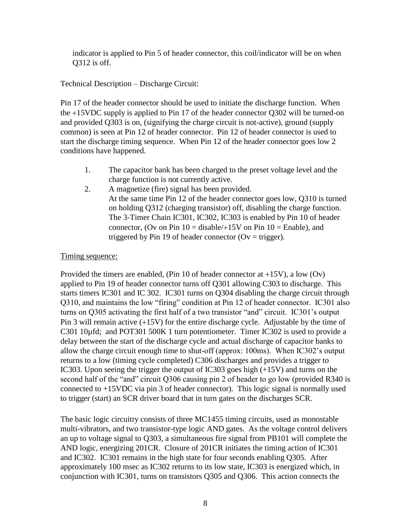indicator is applied to Pin 5 of header connector, this coil/indicator will be on when Q312 is off.

Technical Description – Discharge Circuit:

Pin 17 of the header connector should be used to initiate the discharge function. When the 15VDC supply is applied to Pin 17 of the header connector Q302 will be turned-on and provided Q303 is on, (signifying the charge circuit is not-active), ground (supply common) is seen at Pin 12 of header connector. Pin 12 of header connector is used to start the discharge timing sequence. When Pin 12 of the header connector goes low 2 conditions have happened.

- 1. The capacitor bank has been charged to the preset voltage level and the charge function is not currently active.
- 2. A magnetize (fire) signal has been provided. At the same time Pin 12 of the header connector goes low, Q310 is turned on holding Q312 (charging transistor) off, disabling the charge function. The 3-Timer Chain IC301, IC302, IC303 is enabled by Pin 10 of header connector, (Ov on Pin  $10 =$  disable/+15V on Pin  $10 =$  Enable), and triggered by Pin 19 of header connector ( $Ov = \text{trigger}$ ).

## Timing sequence:

Provided the timers are enabled, (Pin 10 of header connector at  $+15V$ ), a low (Ov) applied to Pin 19 of header connector turns off Q301 allowing C303 to discharge. This starts timers IC301 and IC 302. IC301 turns on Q304 disabling the charge circuit through Q310, and maintains the low "firing" condition at Pin 12 of header connector. IC301 also turns on Q305 activating the first half of a two transistor "and" circuit. IC301's output Pin 3 will remain active  $(+15V)$  for the entire discharge cycle. Adjustable by the time of C301 10µfd; and POT301 500K 1 turn potentiometer. Timer IC302 is used to provide a delay between the start of the discharge cycle and actual discharge of capacitor banks to allow the charge circuit enough time to shut-off (approx: 100ms). When IC302's output returns to a low (timing cycle completed) C306 discharges and provides a trigger to IC303. Upon seeing the trigger the output of IC303 goes high (+15V) and turns on the second half of the "and" circuit Q306 causing pin 2 of header to go low (provided R340 is connected to +15VDC via pin 3 of header connector). This logic signal is normally used to trigger (start) an SCR driver board that in turn gates on the discharges SCR.

The basic logic circuitry consists of three MC1455 timing circuits, used as monostable multi-vibrators, and two transistor-type logic AND gates. As the voltage control delivers an up to voltage signal to Q303, a simultaneous fire signal from PB101 will complete the AND logic, energizing 201CR. Closure of 201CR initiates the timing action of IC301 and IC302. IC301 remains in the high state for four seconds enabling Q305. After approximately 100 msec as IC302 returns to its low state, IC303 is energized which, in conjunction with IC301, turns on transistors Q305 and Q306. This action connects the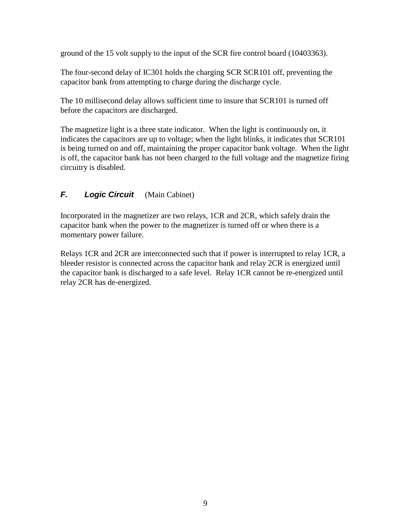ground of the 15 volt supply to the input of the SCR fire control board (10403363).

The four-second delay of IC301 holds the charging SCR SCR101 off, preventing the capacitor bank from attempting to charge during the discharge cycle.

The 10 millisecond delay allows sufficient time to insure that SCR101 is turned off before the capacitors are discharged.

The magnetize light is a three state indicator. When the light is continuously on, it indicates the capacitors are up to voltage; when the light blinks, it indicates that SCR101 is being turned on and off, maintaining the proper capacitor bank voltage. When the light is off, the capacitor bank has not been charged to the full voltage and the magnetize firing circuitry is disabled.

## *F. Logic Circuit* (Main Cabinet)

Incorporated in the magnetizer are two relays, 1CR and 2CR, which safely drain the capacitor bank when the power to the magnetizer is turned off or when there is a momentary power failure.

Relays 1CR and 2CR are interconnected such that if power is interrupted to relay 1CR, a bleeder resistor is connected across the capacitor bank and relay 2CR is energized until the capacitor bank is discharged to a safe level. Relay 1CR cannot be re-energized until relay 2CR has de-energized.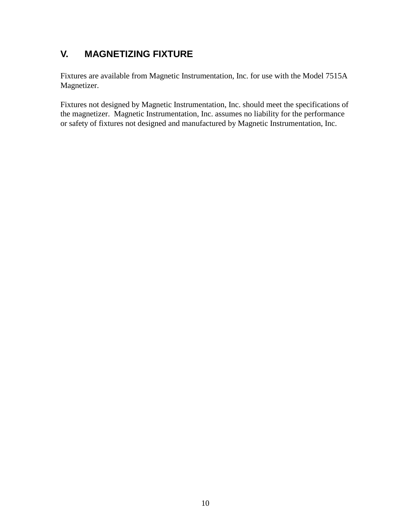# **V. MAGNETIZING FIXTURE**

Fixtures are available from Magnetic Instrumentation, Inc. for use with the Model 7515A Magnetizer.

Fixtures not designed by Magnetic Instrumentation, Inc. should meet the specifications of the magnetizer. Magnetic Instrumentation, Inc. assumes no liability for the performance or safety of fixtures not designed and manufactured by Magnetic Instrumentation, Inc.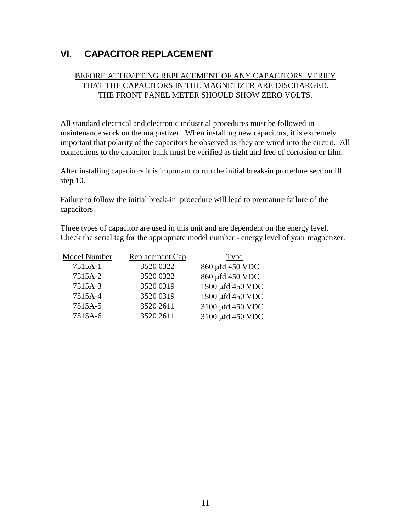# **VI. CAPACITOR REPLACEMENT**

### BEFORE ATTEMPTING REPLACEMENT OF ANY CAPACITORS, VERIFY THAT THE CAPACITORS IN THE MAGNETIZER ARE DISCHARGED. THE FRONT PANEL METER SHOULD SHOW ZERO VOLTS.

All standard electrical and electronic industrial procedures must be followed in maintenance work on the magnetizer. When installing new capacitors, it is extremely important that polarity of the capacitors be observed as they are wired into the circuit. All connections to the capacitor bank must be verified as tight and free of corrosion or film.

After installing capacitors it is important to run the initial break-in procedure section III step 10.

Failure to follow the initial break-in procedure will lead to premature failure of the capacitors.

Three types of capacitor are used in this unit and are dependent on the energy level. Check the serial tag for the appropriate model number - energy level of your magnetizer.

| Model Number | <b>Replacement Cap</b> | <b>Type</b>      |
|--------------|------------------------|------------------|
| 7515A-1      | 3520 0322              | 860 µfd 450 VDC  |
| 7515A-2      | 3520 0322              | 860 µfd 450 VDC  |
| 7515A-3      | 3520 0319              | 1500 µfd 450 VDC |
| 7515A-4      | 3520 0319              | 1500 µfd 450 VDC |
| 7515A-5      | 3520 2611              | 3100 µfd 450 VDC |
| 7515A-6      | 3520 2611              | 3100 µfd 450 VDC |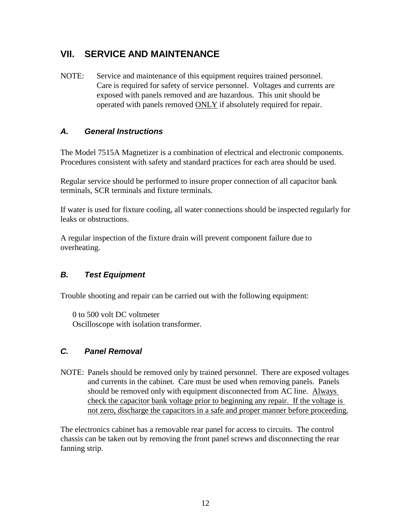# **VII. SERVICE AND MAINTENANCE**

NOTE: Service and maintenance of this equipment requires trained personnel. Care is required for safety of service personnel. Voltages and currents are exposed with panels removed and are hazardous. This unit should be operated with panels removed ONLY if absolutely required for repair.

## *A. General Instructions*

The Model 7515A Magnetizer is a combination of electrical and electronic components. Procedures consistent with safety and standard practices for each area should be used.

Regular service should be performed to insure proper connection of all capacitor bank terminals, SCR terminals and fixture terminals.

If water is used for fixture cooling, all water connections should be inspected regularly for leaks or obstructions.

A regular inspection of the fixture drain will prevent component failure due to overheating.

## *B. Test Equipment*

Trouble shooting and repair can be carried out with the following equipment:

0 to 500 volt DC voltmeter Oscilloscope with isolation transformer.

## *C. Panel Removal*

NOTE: Panels should be removed only by trained personnel. There are exposed voltages and currents in the cabinet. Care must be used when removing panels. Panels should be removed only with equipment disconnected from AC line. Always check the capacitor bank voltage prior to beginning any repair. If the voltage is not zero, discharge the capacitors in a safe and proper manner before proceeding.

The electronics cabinet has a removable rear panel for access to circuits. The control chassis can be taken out by removing the front panel screws and disconnecting the rear fanning strip.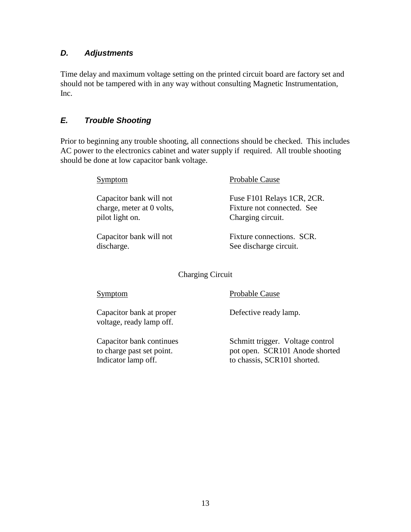## *D. Adjustments*

Time delay and maximum voltage setting on the printed circuit board are factory set and should not be tampered with in any way without consulting Magnetic Instrumentation, Inc.

# *E. Trouble Shooting*

Prior to beginning any trouble shooting, all connections should be checked. This includes AC power to the electronics cabinet and water supply if required. All trouble shooting should be done at low capacitor bank voltage.

| Symptom                   | Probable Cause             |
|---------------------------|----------------------------|
| Capacitor bank will not   | Fuse F101 Relays 1CR, 2CR. |
| charge, meter at 0 volts, | Fixture not connected. See |
| pilot light on.           | Charging circuit.          |
| Capacitor bank will not   | Fixture connections. SCR.  |
| discharge.                | See discharge circuit.     |

Charging Circuit

| Symptom                                               | Probable Cause                                                     |
|-------------------------------------------------------|--------------------------------------------------------------------|
| Capacitor bank at proper<br>voltage, ready lamp off.  | Defective ready lamp.                                              |
| Capacitor bank continues<br>to charge past set point. | Schmitt trigger. Voltage control<br>pot open. SCR101 Anode shorted |
| Indicator lamp off.                                   | to chassis, SCR101 shorted.                                        |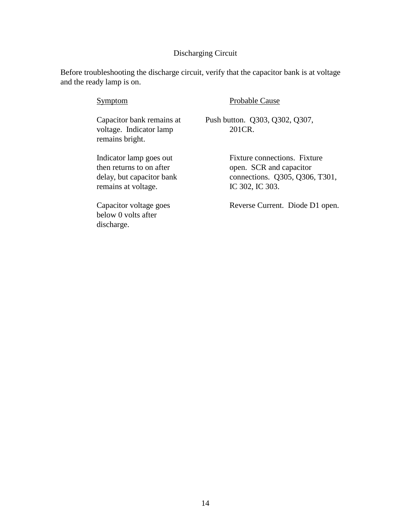#### Discharging Circuit

Before troubleshooting the discharge circuit, verify that the capacitor bank is at voltage and the ready lamp is on.

# Symptom Probable Cause Capacitor bank remains at Push button. Q303, Q302, Q307, voltage. Indicator lamp 201CR. remains bright. Indicator lamp goes out Fixture connections. Fixture then returns to on after open. SCR and capacitor delay, but capacitor bank connections. Q305, Q306, T301, remains at voltage. IC 302, IC 303. Capacitor voltage goes Reverse Current. Diode D1 open.

below 0 volts after discharge.

14